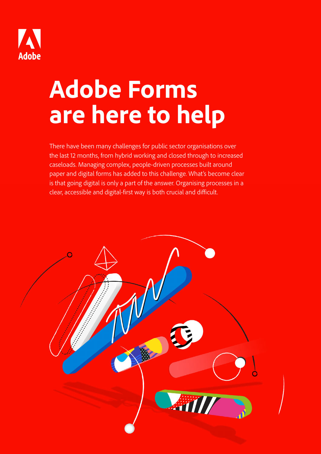

# **Adobe Forms are here to help**

There have been many challenges for public sector organisations over the last 12 months, from hybrid working and closed through to increased caseloads. Managing complex, people-driven processes built around paper and digital forms has added to this challenge. What's become clear is that going digital is only a part of the answer. Organising processes in a clear, accessible and digital-first way is both crucial and difficult.

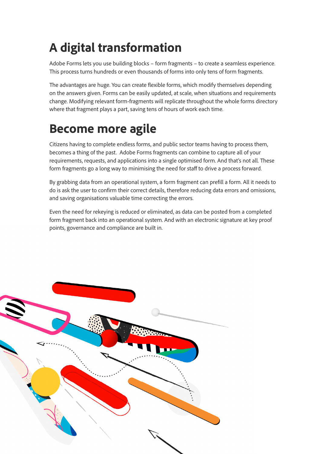### **A digital transformation**

Adobe Forms lets you use building blocks – form fragments – to create a seamless experience. This process turns hundreds or even thousands of forms into only tens of form fragments.

The advantages are huge. You can create flexible forms, which modify themselves depending on the answers given. Forms can be easily updated, at scale, when situations and requirements change. Modifying relevant form-fragments will replicate throughout the whole forms directory where that fragment plays a part, saving tens of hours of work each time.

#### **Become more agile**

Citizens having to complete endless forms, and public sector teams having to process them, becomes a thing of the past. Adobe Forms fragments can combine to capture all of your requirements, requests, and applications into a single optimised form. And that's not all. These form fragments go a long way to minimising the need for staff to drive a process forward.

By grabbing data from an operational system, a form fragment can prefill a form. All it needs to do is ask the user to confirm their correct details, therefore reducing data errors and omissions, and saving organisations valuable time correcting the errors.

Even the need for rekeying is reduced or eliminated, as data can be posted from a completed form fragment back into an operational system. And with an electronic signature at key proof points, governance and compliance are built in.

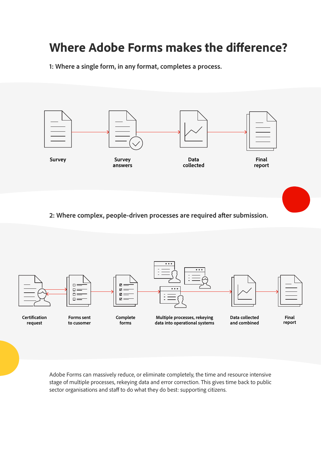#### **Where Adobe Forms makes the difference?**

**1: Where a single form, in any format, completes a process.**



**2: Where complex, people-driven processes are required after submission.**



Adobe Forms can massively reduce, or eliminate completely, the time and resource intensive stage of multiple processes, rekeying data and error correction. This gives time back to public sector organisations and staff to do what they do best: supporting citizens.